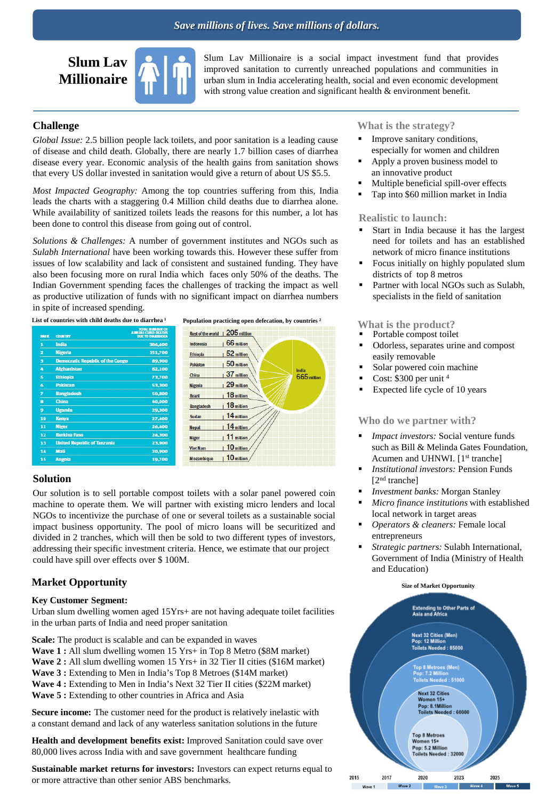

Slum Lav Millionaire is a social impact investment fund that provides improved sanitation to currently unreached populations and communities in urban slum in India accelerating health, social and even economic development with strong value creation and significant health & environment benefit.

## **Challenge**

*Global Issue:* 2.5 billion people lack toilets, and poor sanitation is a leading cause of disease and child death. Globally, there are nearly 1.7 billion cases of diarrhea disease every year. Economic analysis of the health gains from sanitation shows that every US dollar invested in sanitation would give a return of about US \$5.5.

*Most Impacted Geography:* Among the top countries suffering from this, India leads the charts with a staggering 0.4 Million child deaths due to diarrhea alone. While availability of sanitized toilets leads the reasons for this number, a lot has been done to control this disease from going out of control.

*Solutions & Challenges:* A number of government institutes and NGOs such as *Sulabh International* have been working towards this. However these suffer from issues of low scalability and lack of consistent and sustained funding. They have also been focusing more on rural India which faces only 50% of the deaths. The Indian Government spending faces the challenges of tracking the impact as well as productive utilization of funds with no significant impact on diarrhea numbers in spite of increased spending.

List of countries with child deaths due to diarrhea<sup>1</sup> Population practicing open defecation, by countries <sup>2</sup>

| <b>RANK</b> | <b>COUNTRY</b>                          | <b>TOTAL NUMBER OF</b><br><b>ANNUAL CHED DEATHS</b><br><b>DIE TO DIARRHOFA</b> |
|-------------|-----------------------------------------|--------------------------------------------------------------------------------|
| п           | India                                   | 386,600                                                                        |
| z           | <b>Nigeria</b>                          | 151,700                                                                        |
| з           | <b>Democratic Republic of the Congo</b> | 89,900                                                                         |
| A           | <b>Afghanistan</b>                      | 82.100                                                                         |
| s           | <b>Ethiopia</b>                         | 73.700                                                                         |
| 6           | <b>Pakistan</b>                         | 53,300                                                                         |
| 7           | <b>Bangladesh</b>                       | 50,800                                                                         |
| a           | <b>China</b>                            | 40,000                                                                         |
| 9           | <b>Uganda</b>                           | 29,300                                                                         |
| 10          | Kenya                                   | 27,400                                                                         |
| 11          | <b>Niger</b>                            | 26.400                                                                         |
| 12          | <b>Burkina Faso</b>                     | 24,300                                                                         |
| 13          | <b>United Republic of Tanzania</b>      | 23,900                                                                         |
| 14          | Mali                                    | 20,900                                                                         |
| 15          | <b>Angola</b>                           | 19.700                                                                         |



### **Solution**

Our solution is to sell portable compost toilets with a solar panel powered coin machine to operate them. We will partner with existing micro lenders and local NGOs to incentivize the purchase of one or several toilets as a sustainable social impact business opportunity. The pool of micro loans will be securitized and divided in 2 tranches, which will then be sold to two different types of investors, addressing their specific investment criteria. Hence, we estimate that our project could have spill over effects over \$ 100M.

## **Market Opportunity**

### **Key Customer Segment:**

Urban slum dwelling women aged 15Yrs+ are not having adequate toilet facilities in the urban parts of India and need proper sanitation

**Scale:** The product is scalable and can be expanded in waves

- **Wave 1 :** All slum dwelling women 15 Yrs+ in Top 8 Metro (\$8M market)
- **Wave 2 :** All slum dwelling women 15 Yrs+ in 32 Tier II cities (\$16M market)
- **Wave 3 :** Extending to Men in India's Top 8 Metroes (\$14M market)

**Wave 4 :** Extending to Men in India's Next 32 Tier II cities (\$22M market)

**Wave 5 :** Extending to other countries in Africa and Asia

**Secure income:** The customer need for the product is relatively inelastic with a constant demand and lack of any waterless sanitation solutions in the future

**Health and development benefits exist:** Improved Sanitation could save over 80,000 lives across India with and save government healthcare funding

**Sustainable market returns for investors:** Investors can expect returns equal to or more attractive than other senior ABS benchmarks.

### **What is the strategy?**

- Improve sanitary conditions, especially for women and children
- Apply a proven business model to an innovative product
- Multiple beneficial spill-over effects
- Tap into \$60 million market in India

### **Realistic to launch:**

- Start in India because it has the largest need for toilets and has an established network of micro finance institutions
- Focus initially on highly populated slum districts of top 8 metros
- Partner with local NGOs such as Sulabh, specialists in the field of sanitation

# **What is the product?**<br>**Portable compost toilet**

- 
- Odorless, separates urine and compost easily removable
- Solar powered coin machine
- Cost:  $$300$  per unit <sup>4</sup>
- Expected life cycle of 10 years

### **Who do we partner with?**

- *Impact investors:* Social venture funds such as Bill & Melinda Gates Foundation, Acumen and UHNWI. [1<sup>st</sup> tranche]
- *Institutional investors:* Pension Funds [2nd tranche]
- *Investment banks:* Morgan Stanley
- *Micro finance institutions* with established local network in target areas
- *Operators & cleaners:* Female local entrepreneurs
- *Strategic partners:* Sulabh International, Government of India (Ministry of Health and Education)

#### **Size of Market Opportunity**



2015